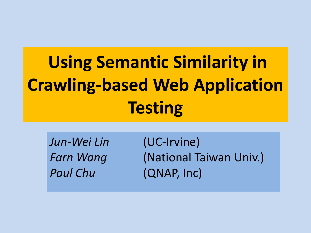# **Using Semantic Similarity in Crawling-based Web Application Testing**

*Jun-Wei Lin* (UC-Irvine) *Paul Chu* (QNAP, Inc)

**Farn Wang (National Taiwan Univ.)**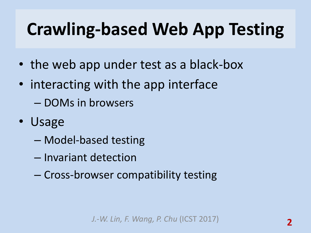## **Crawling-based Web App Testing**

- the web app under test as a black-box
- interacting with the app interface – DOMs in browsers
- Usage
	- Model-based testing
	- Invariant detection
	- Cross-browser compatibility testing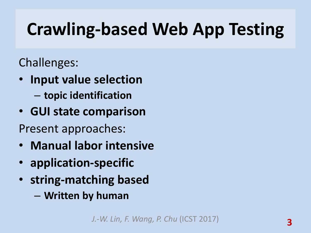## **Crawling-based Web App Testing**

Challenges:

- **Input value selection** 
	- **topic identification**
- **GUI state comparison**
- Present approaches:
- **Manual labor intensive**
- **application-specific**
- **string-matching based**
	- **Written by human**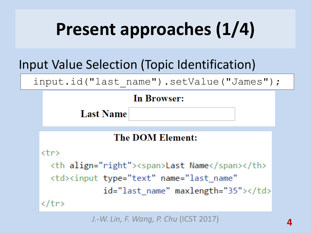# **Present approaches (1/4)**

#### Input Value Selection (Topic Identification)

input.id("last name").setValue("James");

#### **In Browser:**

**Last Name** 

#### **The DOM Element:**

 $<$ tr>

<th align="right"><span>Last Name</span></th> <td><input type="text" name="last\_name" id="last\_name" maxlength="35"></td> </tr>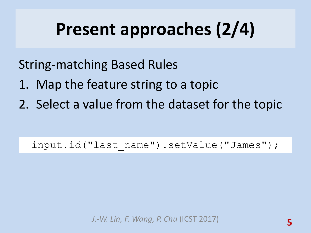## **Present approaches (2/4)**

String-matching Based Rules

- 1. Map the feature string to a topic
- 2. Select a value from the dataset for the topic

input.id("last name").setValue("James");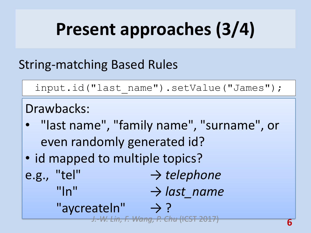# **Present approaches (3/4)**

#### String-matching Based Rules

```
input.id("last_name").setValue("James");
```
#### Drawbacks:

- "last name", "family name", "surname", or even randomly generated id?
- id mapped to multiple topics?
- e.g., "tel" → *telephone* "In" → *last\_name* "aycreateln"  $\rightarrow$  ?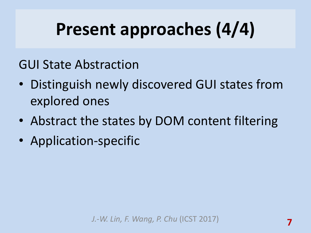## **Present approaches (4/4)**

GUI State Abstraction

- Distinguish newly discovered GUI states from explored ones
- Abstract the states by DOM content filtering
- Application-specific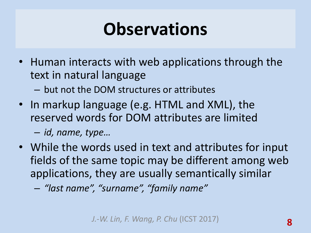### **Observations**

- Human interacts with web applications through the text in natural language
	- but not the DOM structures or attributes
- In markup language (e.g. HTML and XML), the reserved words for DOM attributes are limited – *id, name, type…*
- While the words used in text and attributes for input fields of the same topic may be different among web applications, they are usually semantically similar
	- *"last name", "surname", "family name"*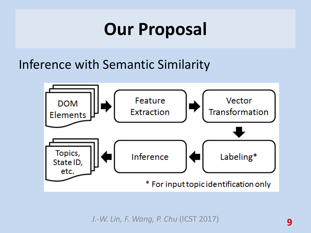### **Our Proposal**

Inference with Semantic Similarity

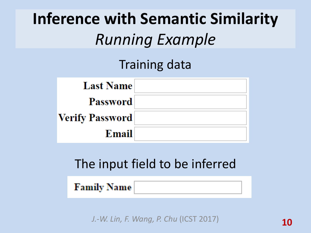### **Inference with Semantic Similarity** *Running Example*

#### Training data



#### The input field to be inferred

#### **Family Name**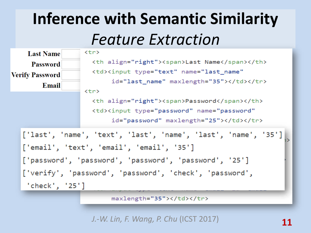#### **Inference with Semantic Similarity** *Feature Extraction*



maxlength="35"></td></tr>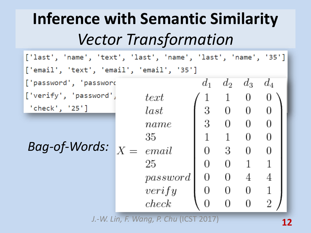#### **Inference with Semantic Similarity** *Vector Transformation*

['last', 'name', 'text', 'last', 'name', 'last', 'name', '35'] ['email', 'text', 'email', 'email', '35']  $d_1$  $d_3$ ['password', 'password  $d_2$  $d_4$ ['verify', 'password',  $text$ 0  $\perp$  $0\qquad 0$ 3 'check', '25'] 0  $last$  $0 \quad 0$ 3 0 name  $\mathbf{1}$  $\begin{array}{ccc} & 1 \end{array}$  $\overline{0}$ 0 35 *Bag-of-Words:*  $X = email$ 3 0 0 0  $0 \quad 1$ 25 0 1  $0 \quad 4$ 0 4 password  $0 \quad 0$  $verify$ 0 0 0  $\overline{2}$  $check$ 0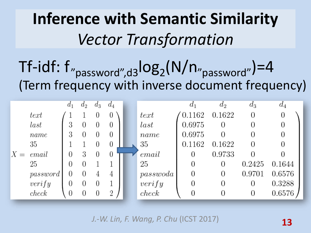#### **Inference with Semantic Similarity** *Vector Transformation*

 $Tf-idf: f''_{password'',d3}log_2(N/n''_{password''})=4$ (Term frequency with inverse document frequency)

|       |          | $d_1$ | $a_2$ | $d_3$    | $d_4$          |          | $d_1$  | $d_2$  | $d_3$  | $d_4$  |
|-------|----------|-------|-------|----------|----------------|----------|--------|--------|--------|--------|
|       | text     |       |       | 0        | 0              | text     | 0.1162 | 0.1622 | 0      | 0      |
|       | last     | 3     |       | $\theta$ | $\theta$       | last     | 0.6975 | 0      | 0      | 0      |
|       | name     | 3     |       | 0        | 0              | name     | 0.6975 | 0      | 0      | 0      |
|       | 35       |       |       | 0        | $\theta$       | 35       | 0.1162 | 0.1622 | 0      | 0      |
| $X =$ | email    | 0     | 3     | $\theta$ | U              | email    | 0      | 0.9733 | 0      | 0      |
|       | 25       | 0     |       |          |                | 25       |        | 0      | 0.2425 | 0.1644 |
|       | password | O     | O     | 4        | 4              | passwoda |        | 0      | 0.9701 | 0.6576 |
|       | verify   | 0     |       | 0        |                | verify   |        | 0      | 0      | 0.3288 |
|       | check    | 0     |       | 0        | $\overline{2}$ | check    |        | 0      | 0      | 0.6576 |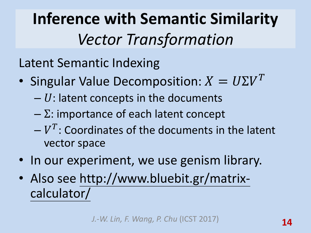**Inference with Semantic Similarity** *Vector Transformation*

Latent Semantic Indexing

- Singular Value Decomposition:  $X = U\Sigma V^T$ 
	- $U$ : latent concepts in the documents
	- $-\Sigma$ : importance of each latent concept
	- $-V<sup>T</sup>$ : Coordinates of the documents in the latent vector space
- In our experiment, we use genism library.
- Also see http://www.bluebit.gr/matrixcalculator/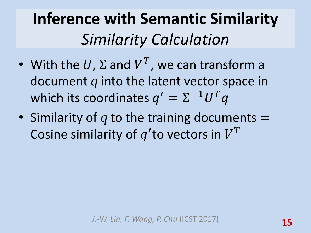#### **Inference with Semantic Similarity** *Similarity Calculation*

- With the  $U$ ,  $\Sigma$  and  $V^T$ , we can transform a document *q* into the latent vector space in which its coordinates  $q' = \Sigma^{-1} U^T q$
- Similarity of *q* to the training documents = Cosine similarity of  $q'$ to vectors in  $V^T$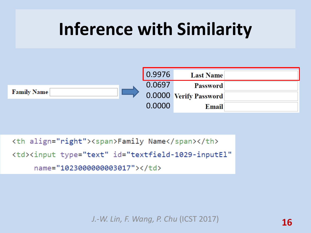

```
<th align="right"><span>Family Name</span></th>
<td><input type="text" id="textfield-1029-inputEl"
    name="1023000000003017"></td>
```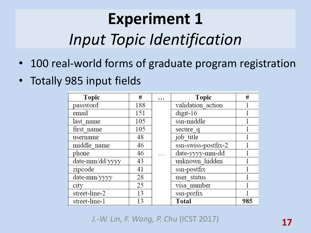#### **Experiment 1**  *Input Topic Identification*

- 100 real-world forms of graduate program registration
- Totally 985 input fields

| <b>Topic</b>    | #   | $\cdots$ | <b>Topic</b>        | #   |
|-----------------|-----|----------|---------------------|-----|
| password        | 188 |          | validation action   |     |
| email           | 151 |          | $digit-16$          |     |
| last name       | 105 |          | ssn-middle          |     |
| first name      | 105 |          | secure q            |     |
| username        | 48  |          | job title           |     |
| middle name     | 46  |          | ssn-swiss-postfix-2 |     |
| phone           | 46  |          | date-yyyy-mm-dd     |     |
| date-mm/dd/yyyy | 43  |          | unknown hidden      |     |
| zipcode         | 41  |          | ssn-postfix         |     |
| date-mm/yyyy    | 28  |          | user status         |     |
| city            | 25  |          | visa number         |     |
| street-line-2   | 13  |          | ssn-prefix          |     |
| street-line-1   | 13  |          | <b>Total</b>        | 985 |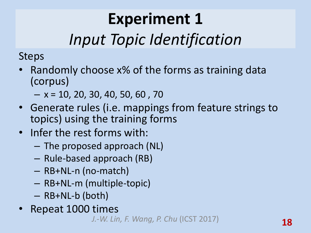### **Experiment 1**

#### *Input Topic Identification*

Steps

- Randomly choose x% of the forms as training data (corpus)
	- $x = 10, 20, 30, 40, 50, 60, 70$
- Generate rules (i.e. mappings from feature strings to topics) using the training forms
- Infer the rest forms with:
	- The proposed approach (NL)
	- Rule-based approach (RB)
	- RB+NL-n (no-match)
	- RB+NL-m (multiple-topic)
	- RB+NL-b (both)
- Repeat 1000 times

*J.-W. Lin, F. Wang, P. Chu* (ICST 2017) **18**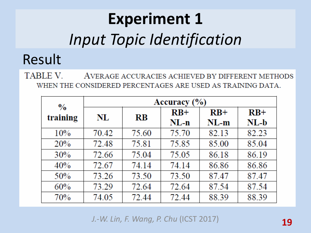## **Experiment 1** *Input Topic Identification*

#### Result

TABLE V. AVERAGE ACCURACIES ACHIEVED BY DIFFERENT METHODS WHEN THE CONSIDERED PERCENTAGES ARE USED AS TRAINING DATA.

| $\frac{0}{0}$ | Accuracy (%) |           |        |        |        |  |  |
|---------------|--------------|-----------|--------|--------|--------|--|--|
| training      | NL           | <b>RB</b> | $RB+$  | $RB+$  | $RB+$  |  |  |
|               |              |           | $NL-n$ | $NL-m$ | $NL-b$ |  |  |
| 10%           | 70.42        | 75.60     | 75.70  | 82.13  | 82.23  |  |  |
| 20%           | 72.48        | 75.81     | 75.85  | 85.00  | 85.04  |  |  |
| 30%           | 72.66        | 75.04     | 75.05  | 86.18  | 86.19  |  |  |
| 40%           | 72.67        | 74.14     | 74.14  | 86.86  | 86.86  |  |  |
| 50%           | 73.26        | 73.50     | 73.50  | 87.47  | 87.47  |  |  |
| 60%           | 73.29        | 72.64     | 72.64  | 87.54  | 87.54  |  |  |
| 70%           | 74.05        | 72.44     | 72.44  | 88.39  | 88.39  |  |  |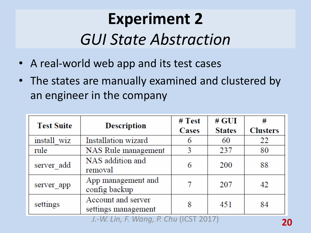#### **Experiment 2** *GUI State Abstraction*

- A real-world web app and its test cases
- The states are manually examined and clustered by an engineer in the company

| <b>Test Suite</b> | <b>Description</b>                        | # Test<br>Cases | $#$ GUI<br><b>States</b> | #<br><b>Clusters</b> |
|-------------------|-------------------------------------------|-----------------|--------------------------|----------------------|
| install wiz       | Installation wizard                       | 6               | 60                       | 22                   |
| rule              | NAS Rule management                       | 3               | 237                      | 80                   |
| server add        | NAS addition and<br>removal               | 6               | 200                      | 88                   |
| server app        | App management and<br>config backup       |                 | 207                      | 42                   |
| settings          | Account and server<br>settings management | 8               | 451                      | 84                   |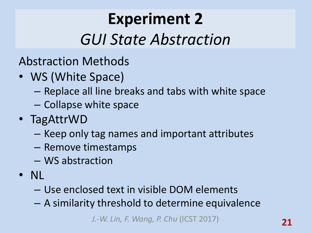#### **Experiment 2** *GUI State Abstraction*

- Abstraction Methods
- WS (White Space)
	- Replace all line breaks and tabs with white space
	- Collapse white space
- TagAttrWD
	- Keep only tag names and important attributes
	- Remove timestamps
	- WS abstraction
- NL
	- Use enclosed text in visible DOM elements
	- A similarity threshold to determine equivalence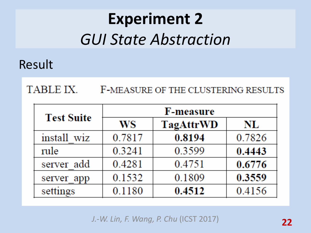#### **Experiment 2** *GUI State Abstraction*

#### Result

#### TABLE IX. F-MEASURE OF THE CLUSTERING RESULTS

| <b>Test Suite</b> | <b>F-measure</b> |           |        |  |  |  |
|-------------------|------------------|-----------|--------|--|--|--|
|                   | WS               | TagAttrWD | NL     |  |  |  |
| install wiz       | 0.7817           | 0.8194    | 0.7826 |  |  |  |
| rule              | 0.3241           | 0.3599    | 0.4443 |  |  |  |
| server add        | 0.4281           | 0.4751    | 0.6776 |  |  |  |
| server app        | 0.1532           | 0.1809    | 0.3559 |  |  |  |
| settings          | 0.1180           | 0.4512    | 0.4156 |  |  |  |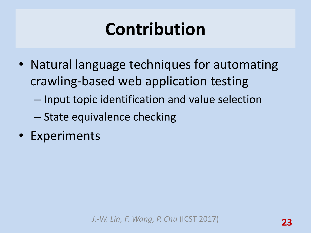### **Contribution**

- Natural language techniques for automating crawling-based web application testing
	- Input topic identification and value selection
	- State equivalence checking
- Experiments